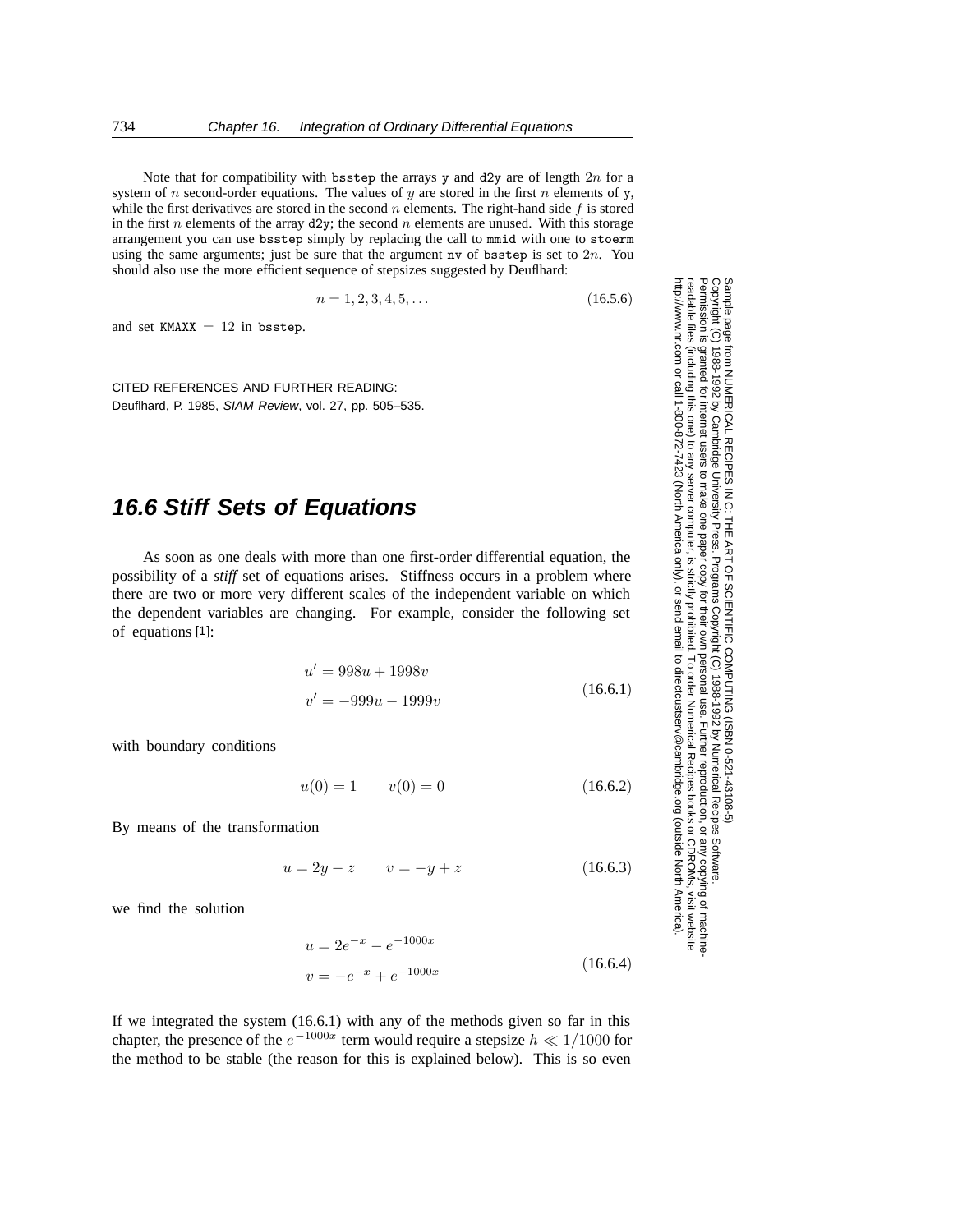Note that for compatibility with bsstep the arrays y and d2y are of length  $2n$  for a system of n second-order equations. The values of y are stored in the first n elements of y, while the first derivatives are stored in the second n elements. The right-hand side  $f$  is stored in the first  $n$  elements of the array d2y; the second  $n$  elements are unused. With this storage arrangement you can use bsstep simply by replacing the call to mmid with one to stoerm using the same arguments; just be sure that the argument nv of bsstep is set to  $2n$ . You should also use the more efficient sequence of stepsizes suggested by Deuflhard:

$$
n = 1, 2, 3, 4, 5, \dots \tag{16.5.6}
$$

and set  $KMAX = 12$  in bsstep.

CITED REFERENCES AND FURTHER READING: Deuflhard, P. 1985, SIAM Review, vol. 27, pp. 505–535.

## **16.6 Stiff Sets of Equations**

As soon as one deals with more than one first-order differential equation, the possibility of a *stiff* set of equations arises. Stiffness occurs in a problem where there are two or more very different scales of the independent variable on which the dependent variables are changing. For example, consider the following set of equations [1]:

$$
u' = 998u + 1998v
$$
  
(16.6.1)

$$
v' = -999u - 1999v \tag{10.0.1}
$$

with boundary conditions

$$
u(0) = 1 \qquad v(0) = 0 \tag{16.6.2}
$$

By means of the transformation

 $u = 2y - z$   $v = -y + z$  (16.6.3)

we find the solution

$$
u = 2e^{-x} - e^{-1000x}
$$
  

$$
v = -e^{-x} + e^{-1000x}
$$
 (16.6.4)

If we integrated the system (16.6.1) with any of the methods given so far in this chapter, the presence of the  $e^{-1000x}$  term would require a stepsize  $h \ll 1/1000$  for the method to be stable (the reason for this is explained below). This is so even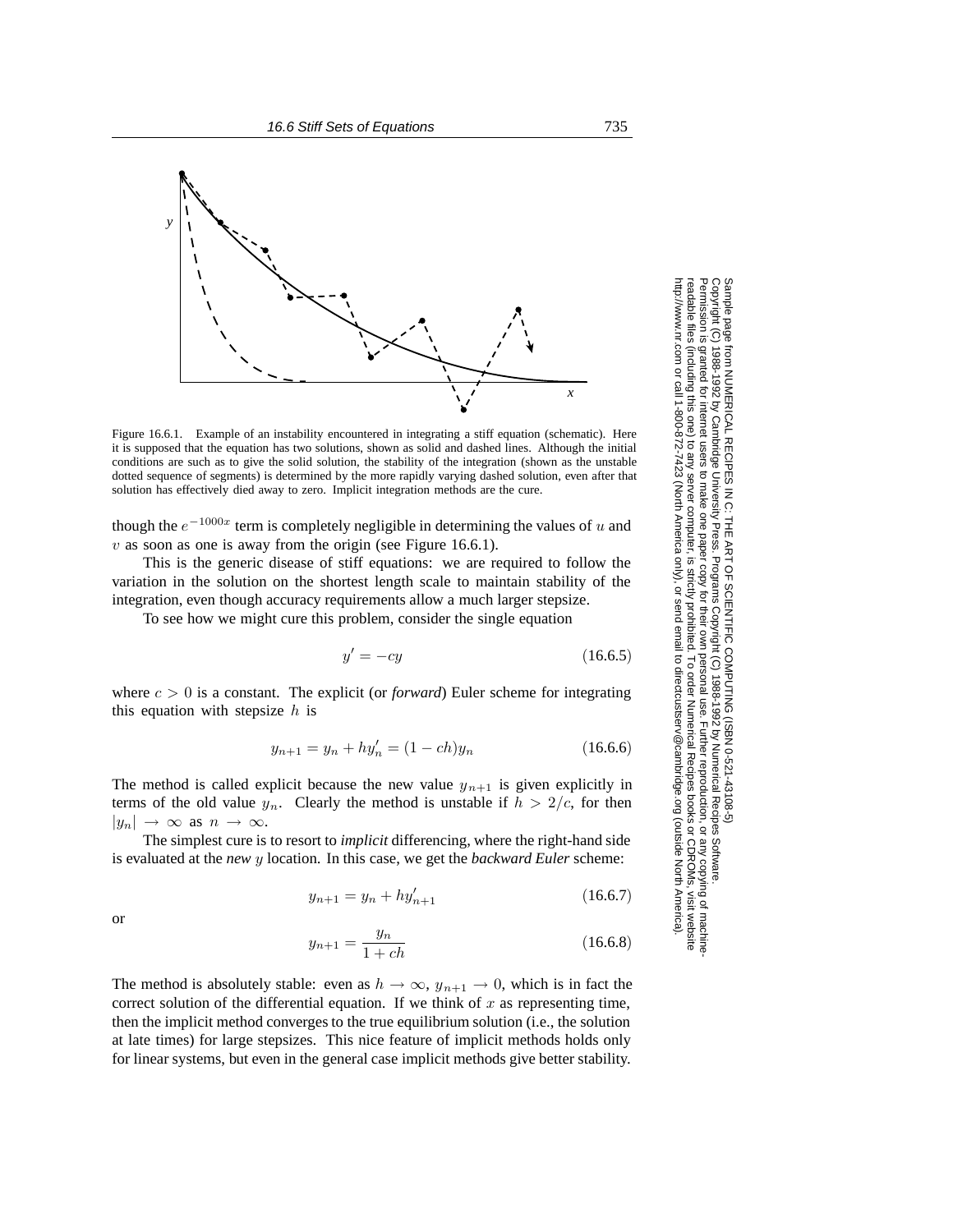

Figure 16.6.1. Example of an instability encountered in integrating a stiff equation (schematic). Here it is supposed that the equation has two solutions, shown as solid and dashed lines. Although the initial conditions are such as to give the solid solution, the stability of the integration (shown as the unstable dotted sequence of segments) is determined by the more rapidly varying dashed solution, even after that solution has effectively died away to zero. Implicit integration methods are the cure.

though the  $e^{-1000x}$  term is completely negligible in determining the values of u and  $v$  as soon as one is away from the origin (see Figure 16.6.1).

This is the generic disease of stiff equations: we are required to follow the variation in the solution on the shortest length scale to maintain stability of the integration, even though accuracy requirements allow a much larger stepsize.

To see how we might cure this problem, consider the single equation

$$
y' = -cy \tag{16.6.5}
$$

where  $c > 0$  is a constant. The explicit (or *forward*) Euler scheme for integrating this equation with stepsize  $h$  is

$$
y_{n+1} = y_n + hy'_n = (1 - ch)y_n \tag{16.6.6}
$$

The method is called explicit because the new value  $y_{n+1}$  is given explicitly in terms of the old value  $y_n$ . Clearly the method is unstable if  $h > 2/c$ , for then  $|y_n|\to\infty$  as  $n\to\infty$ .

The simplest cure is to resort to *implicit* differencing, where the right-hand side is evaluated at the *new* y location. In this case, we get the *backward Euler* scheme:

$$
y_{n+1} = y_n + hy'_{n+1}
$$
 (16.6.7)

$$
y_{n+1} = \frac{y_n}{1 + ch} \tag{16.6.8}
$$

The method is absolutely stable: even as  $h \to \infty$ ,  $y_{n+1} \to 0$ , which is in fact the correct solution of the differential equation. If we think of  $x$  as representing time, then the implicit method converges to the true equilibrium solution (i.e., the solution at late times) for large stepsizes. This nice feature of implicit methods holds only for linear systems, but even in the general case implicit methods give better stability.

Permission is granted for internet users to make one paper copy for their own personal use. Further reproduction, or any copyin Copyright (C) 1988-1992 by Cambridge University Press.Programs Copyright (C) 1988-1992 by Numerical Recipes Software. Sample page from NUMERICAL RECIPES IN C: THE ART OF SCIENTIFIC COMPUTING (ISBN 0-521-43108-5) g of machinereadable files (including this one) to any servercomputer, is strictly prohibited. To order Numerical Recipes booksor CDROMs, visit website http://www.nr.com or call 1-800-872-7423 (North America only),or send email to directcustserv@cambridge.org (outside North America).

or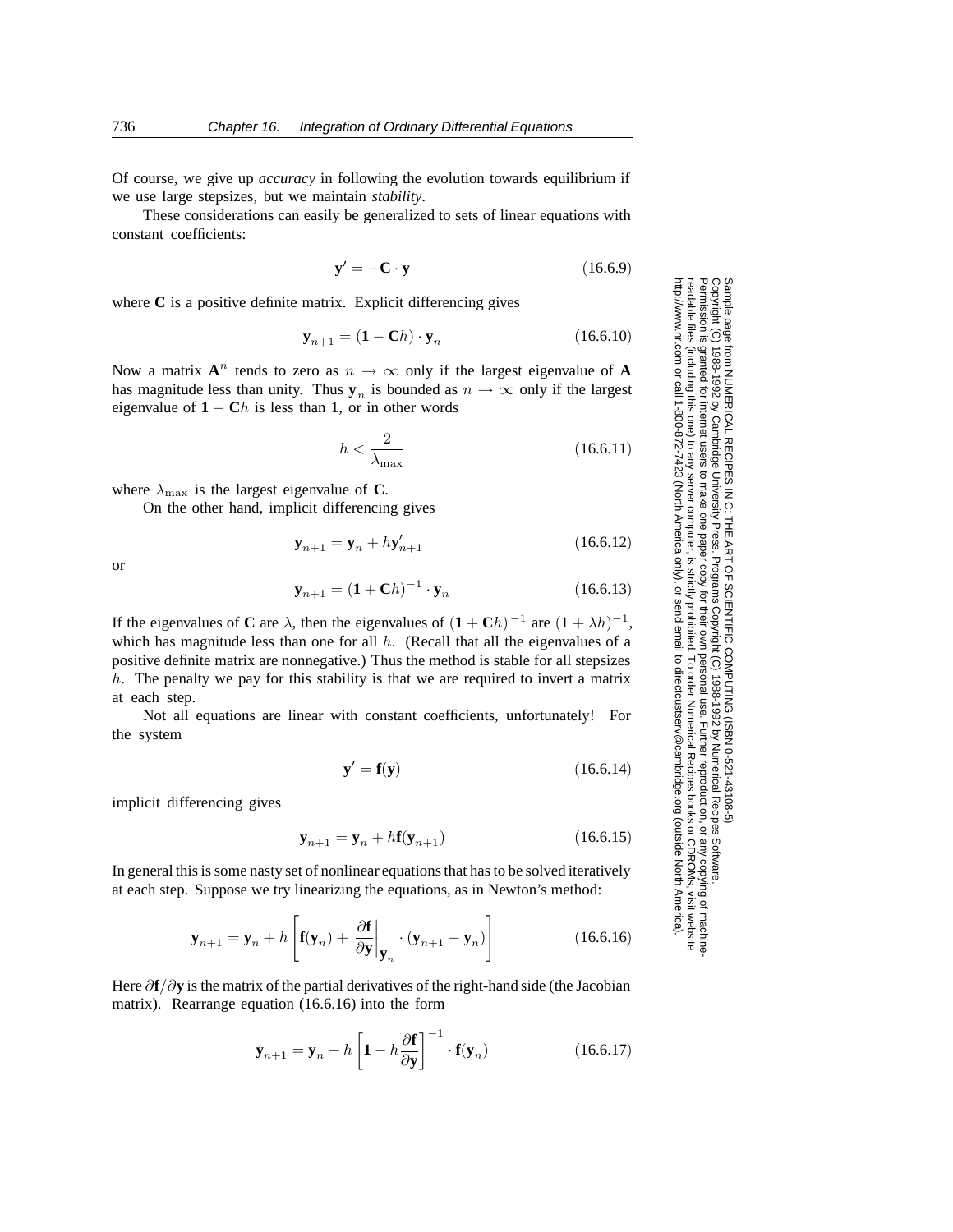Of course, we give up *accuracy* in following the evolution towards equilibrium if we use large stepsizes, but we maintain *stability*.

These considerations can easily be generalized to sets of linear equations with constant coefficients:

$$
\mathbf{y}' = -\mathbf{C} \cdot \mathbf{y} \tag{16.6.9}
$$

where **C** is a positive definite matrix. Explicit differencing gives

$$
\mathbf{y}_{n+1} = (\mathbf{1} - \mathbf{C}h) \cdot \mathbf{y}_n \tag{16.6.10}
$$

Now a matrix  $A^n$  tends to zero as  $n \to \infty$  only if the largest eigenvalue of A has magnitude less than unity. Thus  $y_n$  is bounded as  $n \to \infty$  only if the largest eigenvalue of  $1 - Ch$  is less than 1, or in other words

$$
h < \frac{2}{\lambda_{\text{max}}} \tag{16.6.11}
$$

where  $\lambda_{\text{max}}$  is the largest eigenvalue of **C**.

On the other hand, implicit differencing gives

$$
\mathbf{y}_{n+1} = \mathbf{y}_n + h\mathbf{y}'_{n+1} \tag{16.6.12}
$$

or

$$
\mathbf{y}_{n+1} = (\mathbf{1} + \mathbf{C}h)^{-1} \cdot \mathbf{y}_n \tag{16.6.13}
$$

If the eigenvalues of **C** are  $\lambda$ , then the eigenvalues of  $(1 + \mathbf{C}h)^{-1}$  are  $(1 + \lambda h)^{-1}$ , which has magnitude less than one for all  $h$ . (Recall that all the eigenvalues of a positive definite matrix are nonnegative.) Thus the method is stable for all stepsizes  $h$ . The penalty we pay for this stability is that we are required to invert a matrix at each step.

Not all equations are linear with constant coefficients, unfortunately! For the system

$$
\mathbf{y}' = \mathbf{f}(\mathbf{y}) \tag{16.6.14}
$$

implicit differencing gives

$$
\mathbf{y}_{n+1} = \mathbf{y}_n + h\mathbf{f}(\mathbf{y}_{n+1})\tag{16.6.15}
$$

In general this is some nasty set of nonlinear equations that has to be solved iteratively at each step. Suppose we try linearizing the equations, as in Newton's method:

$$
\mathbf{y}_{n+1} = \mathbf{y}_n + h \left[ \mathbf{f}(\mathbf{y}_n) + \left. \frac{\partial \mathbf{f}}{\partial \mathbf{y}} \right|_{\mathbf{y}_n} \cdot (\mathbf{y}_{n+1} - \mathbf{y}_n) \right]
$$
(16.6.16)

Here ∂**f**/∂**y** is the matrix of the partial derivatives of the right-hand side (the Jacobian matrix). Rearrange equation (16.6.16) into the form

$$
\mathbf{y}_{n+1} = \mathbf{y}_n + h \left[ \mathbf{1} - h \frac{\partial \mathbf{f}}{\partial \mathbf{y}} \right]^{-1} \cdot \mathbf{f}(\mathbf{y}_n)
$$
(16.6.17)

Sample page 1<br>Copyright (C) Copyright (C) 1988-1992 by Cambridge University Press.Sample page from NUMERICAL RECIPES IN C: THE ART OF SCIENTIFIC COMPUTING (ISBN 0-521-43108-5) http://www.nr.com or call 1-800-872-7423 (North America only),readable files (including this one) to any serverPermission is granted for internet users to make one paper copy for their own personal use. Further reproduction, or any copyin from NUMERICAL RECIPES IN C. THE ART OF SCIENTIFIC COMPUTING (ISBN 0-521-43108-5)<br>1988-1992 by Cambridge University Press. Programs Copyright (C) 1988-1992 by Numerical Recipes Software computer, is strictly prohibited. To order Numerical Recipes booksPrograms Copyright (C) 1988-1992 by Numerical Recipes Software. or send email to directcustserv@cambridge.org (outside North America). or CDROMs, visit website g of machine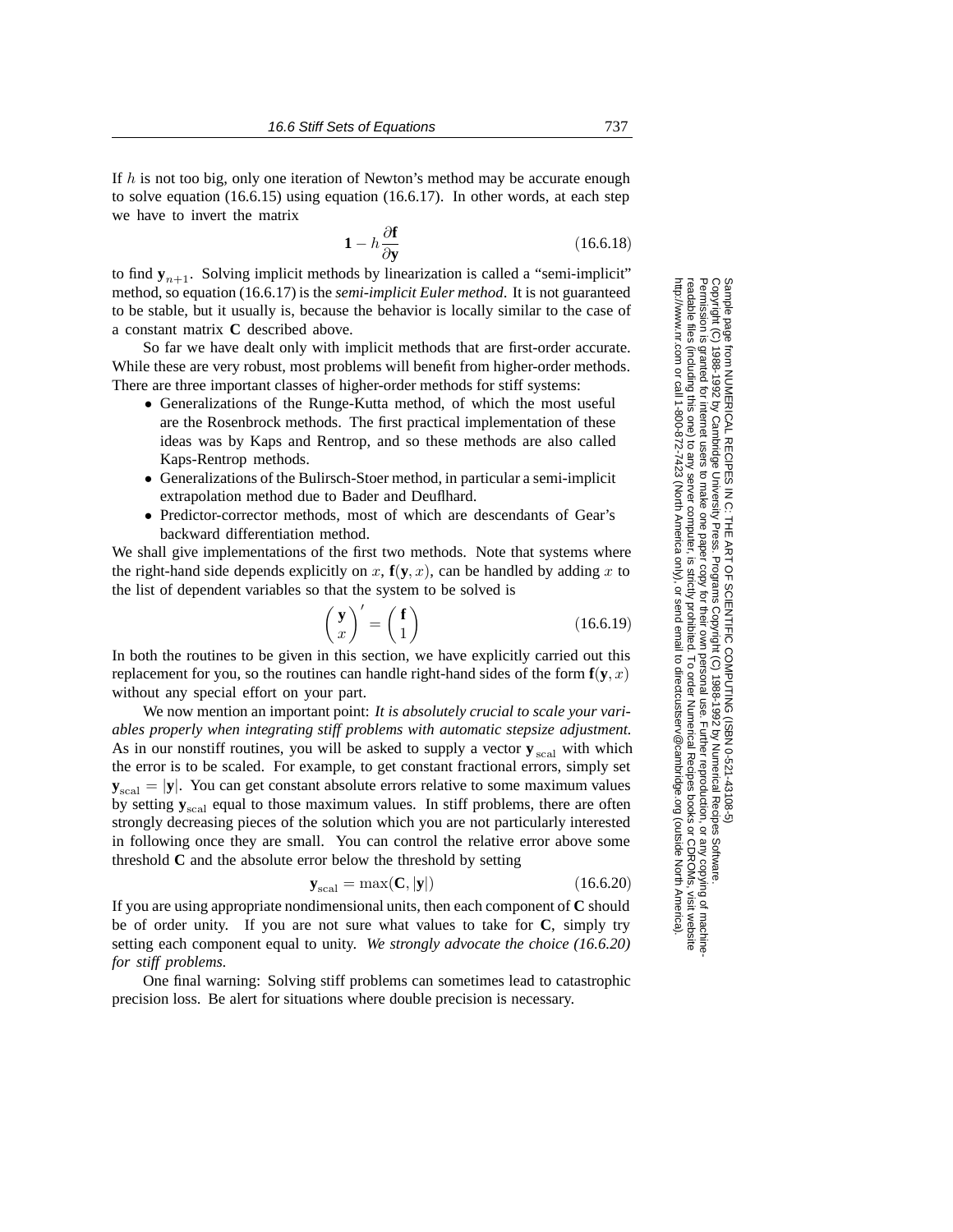If  $h$  is not too big, only one iteration of Newton's method may be accurate enough to solve equation (16.6.15) using equation (16.6.17). In other words, at each step we have to invert the matrix

$$
1 - h \frac{\partial \mathbf{f}}{\partial \mathbf{y}} \tag{16.6.18}
$$

to find  $y_{n+1}$ . Solving implicit methods by linearization is called a "semi-implicit" method, so equation (16.6.17) is the *semi-implicit Euler method*. It is not guaranteed to be stable, but it usually is, because the behavior is locally similar to the case of a constant matrix **C** described above.

So far we have dealt only with implicit methods that are first-order accurate. While these are very robust, most problems will benefit from higher-order methods. There are three important classes of higher-order methods for stiff systems:

- Generalizations of the Runge-Kutta method, of which the most useful are the Rosenbrock methods. The first practical implementation of these ideas was by Kaps and Rentrop, and so these methods are also called Kaps-Rentrop methods.
- Generalizations of the Bulirsch-Stoer method, in particular a semi-implicit extrapolation method due to Bader and Deuflhard.
- Predictor-corrector methods, most of which are descendants of Gear's backward differentiation method.

We shall give implementations of the first two methods. Note that systems where the right-hand side depends explicitly on x,  $f(y, x)$ , can be handled by adding x to the list of dependent variables so that the system to be solved is

$$
\begin{pmatrix} \mathbf{y} \\ x \end{pmatrix}' = \begin{pmatrix} \mathbf{f} \\ 1 \end{pmatrix} \tag{16.6.19}
$$

In both the routines to be given in this section, we have explicitly carried out this replacement for you, so the routines can handle right-hand sides of the form  $f(y, x)$ without any special effort on your part.

We now mention an important point: *It is absolutely crucial to scale your variables properly when integrating stiff problems with automatic stepsize adjustment.* As in our nonstiff routines, you will be asked to supply a vector  $y_{\text{scal}}$  with which the error is to be scaled. For example, to get constant fractional errors, simply set  $y_{\text{scal}} = |y|$ . You can get constant absolute errors relative to some maximum values by setting  $y_{\text{scal}}$  equal to those maximum values. In stiff problems, there are often strongly decreasing pieces of the solution which you are not particularly interested in following once they are small. You can control the relative error above some threshold **C** and the absolute error below the threshold by setting

$$
\mathbf{y}_{\text{scal}} = \max(\mathbf{C}, |\mathbf{y}|) \tag{16.6.20}
$$

If you are using appropriate nondimensional units, then each component of **C** should be of order unity. If you are not sure what values to take for **C**, simply try setting each component equal to unity. *We strongly advocate the choice (16.6.20) for stiff problems.*

One final warning: Solving stiff problems can sometimes lead to catastrophic precision loss. Be alert for situations where double precision is necessary.

Permission is granted for internet users to make one paper copy for their own personal use. Further reproduction, or any copyin

computer, is strictly prohibited. To order Numerical Recipes books

or send email to directcustserv@cambridge.org (outside North America).

Sample page from NUMERICAL RECIPES IN C: THE ART OF SCIENTIFIC COMPUTING (ISBN 0-521-43108-5)

Programs Copyright (C) 1988-1992 by Numerical Recipes Software.

g of machine-

or CDROMs, visit website

Copyright (C) 1988-1992 by Cambridge University Press.

readable files (including this one) to any server

http://www.nr.com or call 1-800-872-7423 (North America only),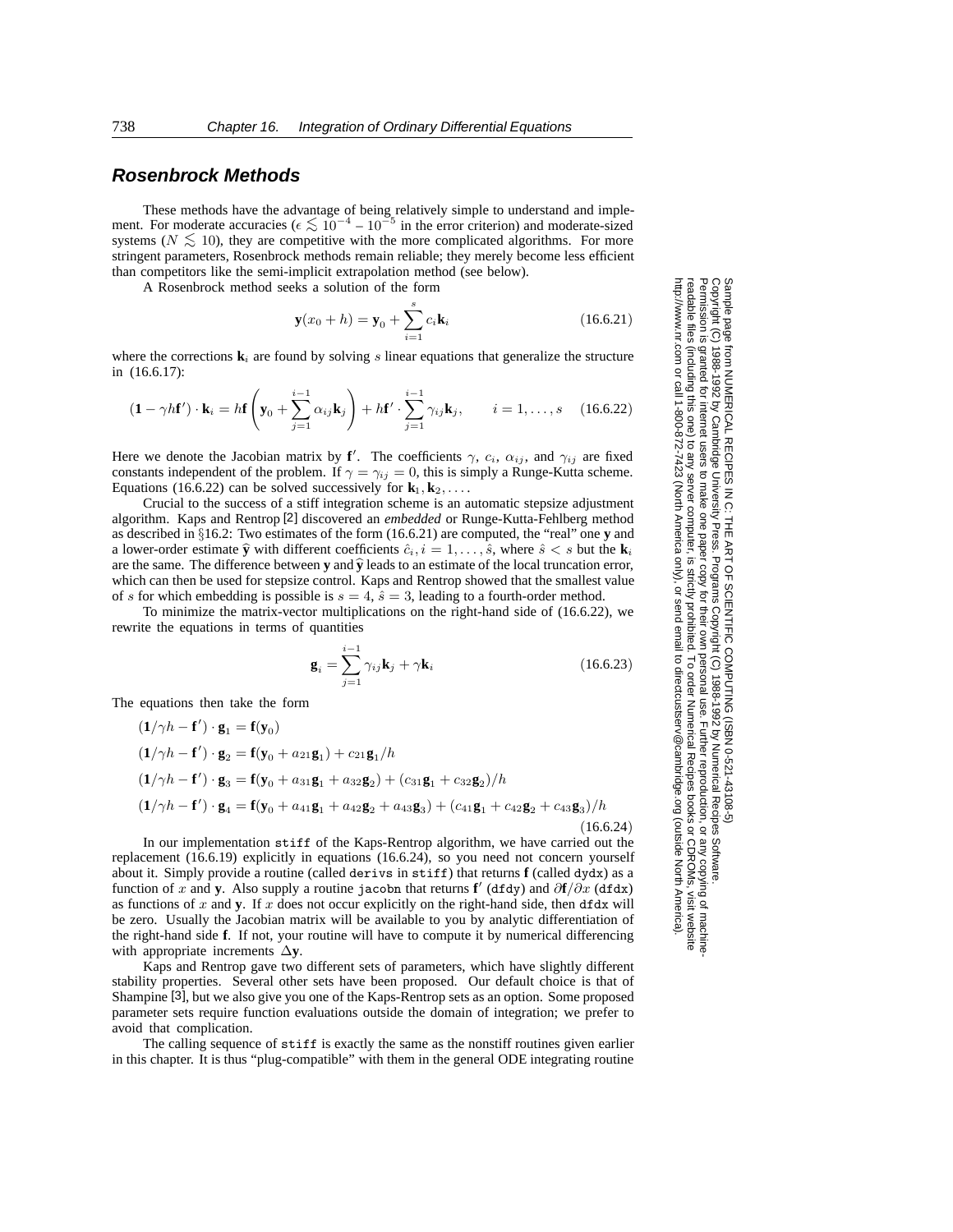### **Rosenbrock Methods**

These methods have the advantage of being relatively simple to understand and implement. For moderate accuracies ( $\epsilon \lesssim 10^{-4} - 10^{-5}$  in the error criterion) and moderate-sized systems ( $N \lesssim 10$ ), they are competitive with the more complicated algorithms. For more stringent parameters, Rosenbrock methods remain reliable; they merely become less efficient than competitors like the semi-implicit extrapolation method (see below).

A Rosenbrock method seeks a solution of the form

$$
\mathbf{y}(x_0 + h) = \mathbf{y}_0 + \sum_{i=1}^{s} c_i \mathbf{k}_i
$$
 (16.6.21)

where the corrections  $\mathbf{k}_i$  are found by solving s linear equations that generalize the structure in (16.6.17):

$$
(\mathbf{1} - \gamma h \mathbf{f}') \cdot \mathbf{k}_i = h \mathbf{f} \left( \mathbf{y}_0 + \sum_{j=1}^{i-1} \alpha_{ij} \mathbf{k}_j \right) + h \mathbf{f}' \cdot \sum_{j=1}^{i-1} \gamma_{ij} \mathbf{k}_j, \qquad i = 1, \dots, s \quad (16.6.22)
$$

Here we denote the Jacobian matrix by **f**'. The coefficients  $\gamma$ ,  $c_i$ ,  $\alpha_{ij}$ , and  $\gamma_{ij}$  are fixed constants independent of the problem. If  $\gamma = \gamma_{ij} = 0$ , this is simply a Runge-Kutta scheme. Equations (16.6.22) can be solved successively for  $\mathbf{k}_1, \mathbf{k}_2, \ldots$ 

Crucial to the success of a stiff integration scheme is an automatic stepsize adjustment algorithm. Kaps and Rentrop [2] discovered an *embedded* or Runge-Kutta-Fehlberg method as described in §16.2: Two estimates of the form (16.6.21) are computed, the "real" one **y** and a lower-order estimate  $\hat{y}$  with different coefficients  $\hat{c}_i$ ,  $i = 1, \ldots, \hat{s}$ , where  $\hat{s} < s$  but the **k**<sub>*i*</sub> are the same. The difference between  $y$  and  $\hat{y}$  leads to an estimate of the local truncation error, which can then be used for stepsize control. Kaps and Rentrop showed that the smallest value of s for which embedding is possible is  $s = 4$ ,  $\hat{s} = 3$ , leading to a fourth-order method.

To minimize the matrix-vector multiplications on the right-hand side of (16.6.22), we rewrite the equations in terms of quantities

$$
\mathbf{g}_i = \sum_{j=1}^{i-1} \gamma_{ij} \mathbf{k}_j + \gamma \mathbf{k}_i
$$
 (16.6.23)

The equations then take the form

$$
(1/\gamma h - f') \cdot g_1 = f(y_0)
$$
  
\n
$$
(1/\gamma h - f') \cdot g_2 = f(y_0 + a_{21}g_1) + c_{21}g_1/h
$$
  
\n
$$
(1/\gamma h - f') \cdot g_3 = f(y_0 + a_{31}g_1 + a_{32}g_2) + (c_{31}g_1 + c_{32}g_2)/h
$$
  
\n
$$
(1/\gamma h - f') \cdot g_4 = f(y_0 + a_{41}g_1 + a_{42}g_2 + a_{43}g_3) + (c_{41}g_1 + c_{42}g_2 + c_{43}g_3)/h
$$
  
\n(16.6.24)

In our implementation stiff of the Kaps-Rentrop algorithm, we have carried out the replacement (16.6.19) explicitly in equations (16.6.24), so you need not concern yourself about it. Simply provide a routine (called derivs in stiff) that returns **f** (called dydx) as a function of x and y. Also supply a routine jacobn that returns f' (dfdy) and  $\partial f / \partial x$  (dfdx) as functions of  $x$  and  $y$ . If  $x$  does not occur explicitly on the right-hand side, then  $dfdx$  will be zero. Usually the Jacobian matrix will be available to you by analytic differentiation of the right-hand side **f**. If not, your routine will have to compute it by numerical differencing with appropriate increments ∆**y**.

Kaps and Rentrop gave two different sets of parameters, which have slightly different stability properties. Several other sets have been proposed. Our default choice is that of Shampine [3], but we also give you one of the Kaps-Rentrop sets as an option. Some proposed parameter sets require function evaluations outside the domain of integration; we prefer to avoid that complication.

The calling sequence of stiff is exactly the same as the nonstiff routines given earlier in this chapter. It is thus "plug-compatible" with them in the general ODE integrating routine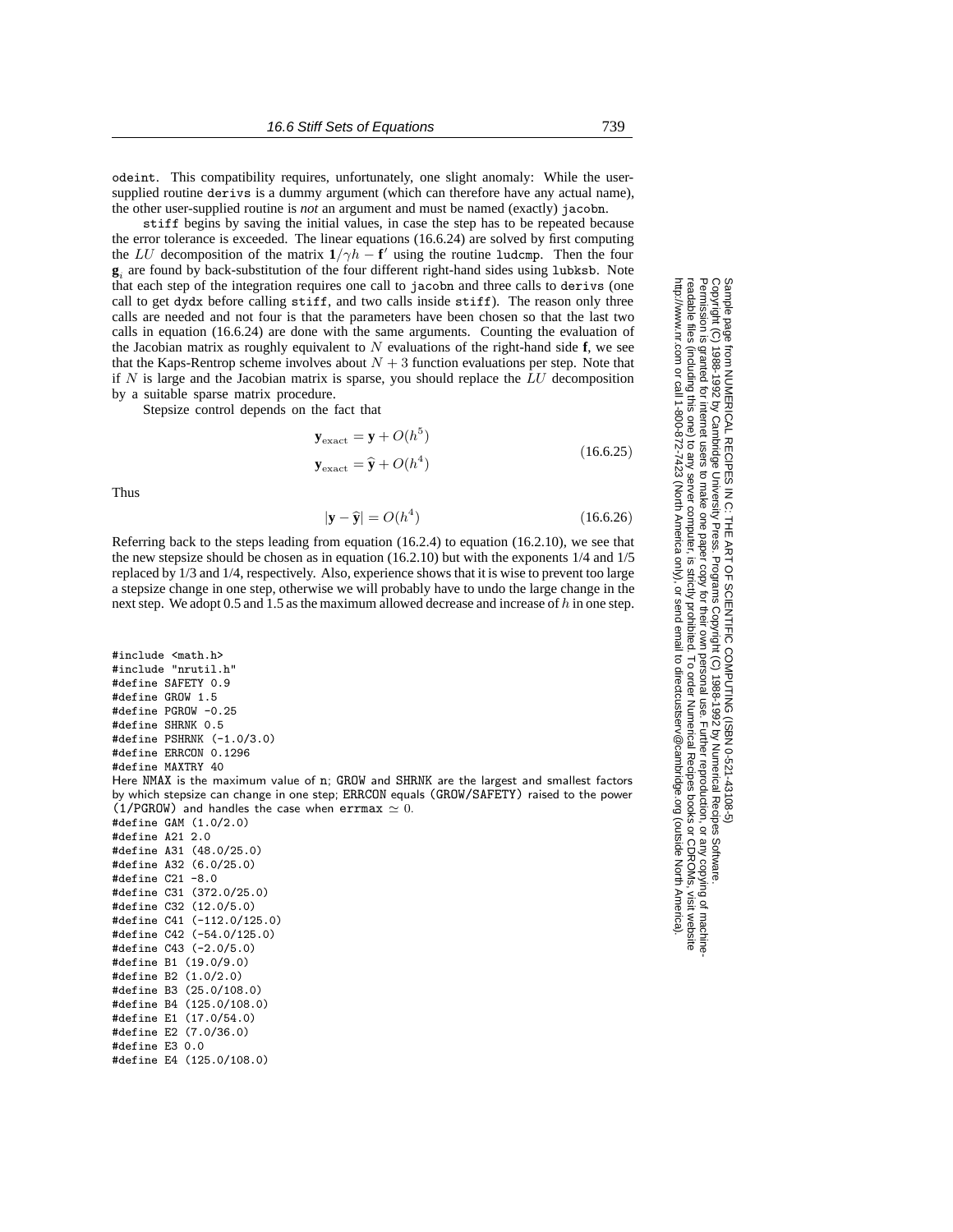odeint. This compatibility requires, unfortunately, one slight anomaly: While the usersupplied routine derivs is a dummy argument (which can therefore have any actual name), the other user-supplied routine is *not* an argument and must be named (exactly) jacobn.

stiff begins by saving the initial values, in case the step has to be repeated because the error tolerance is exceeded. The linear equations (16.6.24) are solved by first computing the LU decomposition of the matrix  $1/\gamma h - f'$  using the routine ludcmp. Then the four **<sup>g</sup>***<sup>i</sup>* are found by back-substitution of the four different right-hand sides using lubksb. Note that each step of the integration requires one call to jacobn and three calls to derivs (one call to get dydx before calling stiff, and two calls inside stiff). The reason only three calls are needed and not four is that the parameters have been chosen so that the last two calls in equation (16.6.24) are done with the same arguments. Counting the evaluation of the Jacobian matrix as roughly equivalent to N evaluations of the right-hand side **f**, we see that the Kaps-Rentrop scheme involves about  $N + 3$  function evaluations per step. Note that if  $N$  is large and the Jacobian matrix is sparse, you should replace the  $LU$  decomposition by a suitable sparse matrix procedure.

Stepsize control depends on the fact that

$$
\mathbf{y}_{\text{exact}} = \mathbf{y} + O(h^5) \tag{16.6.25}
$$

$$
\mathbf{y}_{\text{exact}} = \hat{\mathbf{y}} + O(h^4) \tag{16.6.25}
$$

Thus

#define E4 (125.0/108.0)

$$
|\mathbf{y} - \hat{\mathbf{y}}| = O(h^4)
$$
 (16.6.26)

Referring back to the steps leading from equation  $(16.2.4)$  to equation  $(16.2.10)$ , we see that the new stepsize should be chosen as in equation (16.2.10) but with the exponents 1/4 and 1/5 replaced by 1/3 and 1/4, respectively. Also, experience shows that it is wise to prevent too large a stepsize change in one step, otherwise we will probably have to undo the large change in the next step. We adopt 0.5 and 1.5 as the maximum allowed decrease and increase of  $h$  in one step.

#include <math.h> #include "nrutil.h" #define SAFETY 0.9 #define GROW 1.5 #define PGROW -0.25 #define SHRNK 0.5 #define PSHRNK (-1.0/3.0) #define ERRCON 0.1296 #define MAXTRY 40 Here NMAX is the maximum value of n; GROW and SHRNK are the largest and smallest factors by which stepsize can change in one step; ERRCON equals (GROW/SAFETY) raised to the power (1/PGROW) and handles the case when errmax  $\simeq 0$ . #define GAM (1.0/2.0) #define A21 2.0 #define A31 (48.0/25.0) #define A32 (6.0/25.0) #define C21 -8.0 #define C31 (372.0/25.0) #define C32 (12.0/5.0) #define C41 (-112.0/125.0) #define C42 (-54.0/125.0) #define C43 (-2.0/5.0) #define B1 (19.0/9.0) #define B2 (1.0/2.0) #define B3 (25.0/108.0) #define B4 (125.0/108.0) #define E1 (17.0/54.0) #define E2 (7.0/36.0) #define E3 0.0

Sample page 1<br>Copyright (C)<br>Permission is Copyright (C) 1988-1992 by Cambridge University Press.Sample page from NUMERICAL RECIPES IN C: THE ART OF SCIENTIFIC COMPUTING (ISBN 0-521-43108-5) http://www.nr.com or call 1-800-872-7423 (North America only),readable files (including this one) to any serverPermission is granted for internet users to make one paper copy for their own personal use. Further reproduction, or any copyin granted for internet users from NUMERICAL RECIPES IN C: THE<br>1988-1992 by Cambridge University Pre to make one paper copy for their own personal use. Further reproduction, or any copying of machine<br>server computer, is strictly prohibited. To order Numerical Recipes books or CDROMs, visit website ES IN C: THE ART OF SCIENTIFIC COMPUTING (ISBN 0-521-43108-5)<br>University Press. Programs Copyright (C) 1988-1992 by Numerical Recipes Software computer, is strictly prohibited. To order Numerical Recipes booksPrograms Copyright (C) 1988-1992 by Numerical Recipes Software. or send email to directcustserv@cambridge.org (outside North America). send email to directcustserv@cambridge.org (outside North America) or CDROMs, visit website g of machine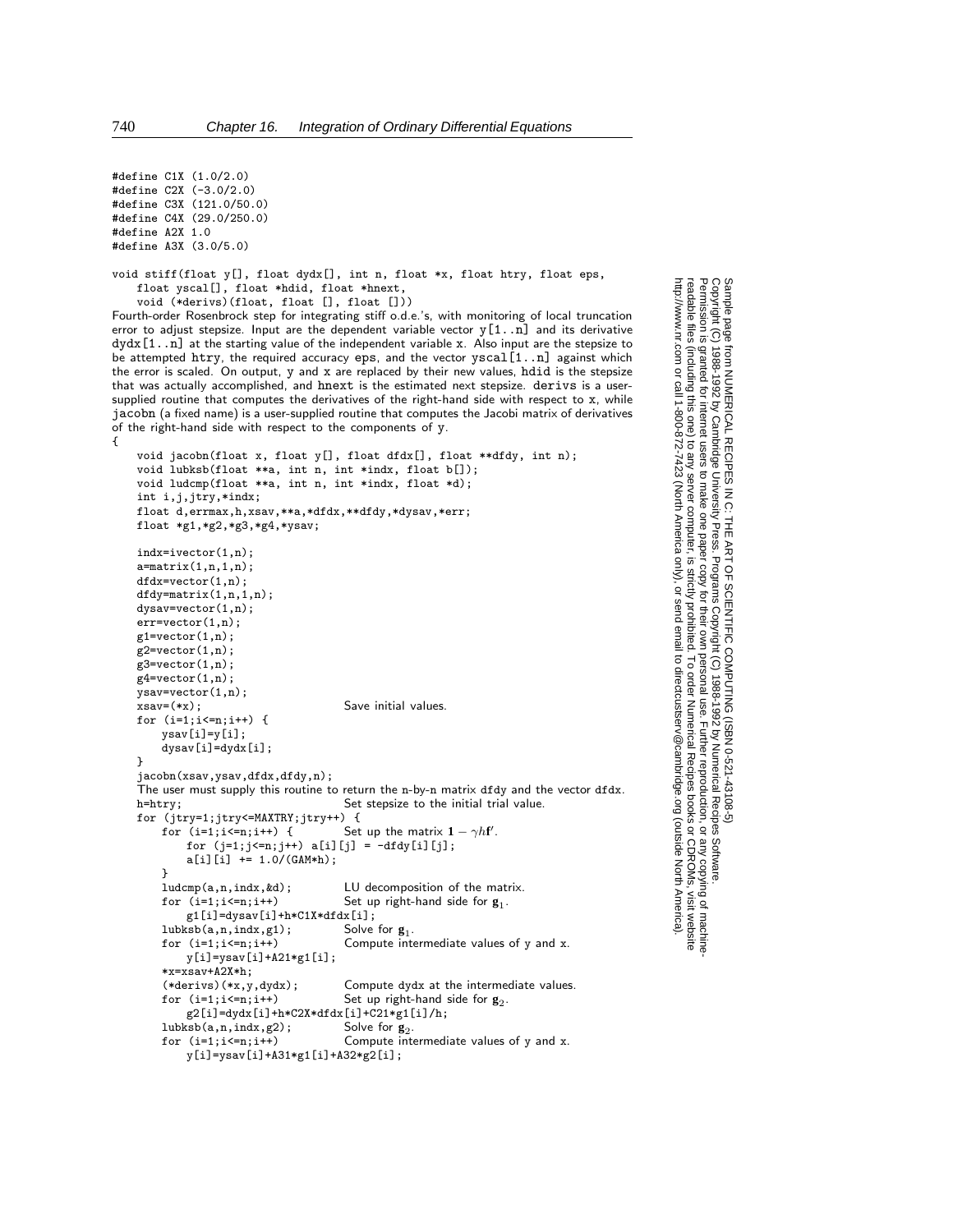#define C1X (1.0/2.0) #define C2X (-3.0/2.0) #define C3X (121.0/50.0) #define C4X (29.0/250.0) #define A2X 1.0 #define A3X (3.0/5.0)

void stiff(float y[], float dydx[], int n, float \*x, float htry, float eps, float yscal[], float \*hdid, float \*hnext, void (\*derivs)(float, float [], float []))

Fourth-order Rosenbrock step for integrating stiff o.d.e.'s, with monitoring of local truncation error to adjust stepsize. Input are the dependent variable vector  $y[1..n]$  and its derivative dydx[1..n] at the starting value of the independent variable x. Also input are the stepsize to be attempted htry, the required accuracy eps, and the vector yscal[1..n] against which the error is scaled. On output, y and x are replaced by their new values, hdid is the stepsize that was actually accomplished, and hnext is the estimated next stepsize. derivs is a usersupplied routine that computes the derivatives of the right-hand side with respect to x, while jacobn (a fixed name) is a user-supplied routine that computes the Jacobi matrix of derivatives of the right-hand side with respect to the components of y. {

```
void jacobn(float x, float y[], float dfdx[], float **dfdy, int n);
void lubksb(float **a, int n, int *indx, float b[]);
void ludcmp(float **a, int n, int *indx, float *d);
int i,j,jtry,*indx;
float d,errmax,h,xsav,**a,*dfdx,**dfdy,*dysav,*err;
float *g1,*g2,*g3,*g4,*ysav;
indx=ivector(1,n);
a=matrix(1,n,1,n);
dfdx=vector(1,n);
dfdy=matrix(1,n,1,n);
dysav=vector(1,n);
err=vector(1,n);
g1=vector(1,n);
g2=vector(1,n);
g3=vector(1,n);
g4=vector(1,n);
ysav=vector(1,n);
xsav=(*x); Save initial values.
for (i=1;i<=n;i++) {
    ysav[i]=y[i];
     dysav[i]=dydx[i];
}
jacobn(xsav,ysav,dfdx,dfdy,n);
The user must supply this routine to return the n-by-n matrix dfdy and the vector dfdx.<br>h=htry; Set stepsize to the initial trial value.
                                        Set stepsize to the initial trial value.
for (jtry=1;jtry<=MAXTRY;jtry++) {<br>for (i=1;i<=n;i++) {<br>Set
     for (i=1;i<=n;i++) { Set up the matrix 1 - \gamma h f'.
          for (j=1; j<=n; j++) a[i][j] = -dfdy[i][j];a[i][i] += 1.0/(GAM*h);
     }<br>ludcmp(a,n,indx,&d);
    ludcmp(a,n,indx, &d); <br>
for (i=1; i \le n; i++)<br>
Set up right-hand side for g_1.
                                        Set up right-hand side for \mathbf{g}_1.
         g1[i]=dysav[i]+h*C1X*dfdx[i];<br>sb(a,n,indx,g1); Solve for g_1.
     lubksb(a,n,indx,g1);<br>for (i=1;i<=n;i++)Compute intermediate values of y and x.
         y[i]=ysav[i]+A21*g1[i];
     *x=xsav+A2X*h;
     (*derivs)(*x,y,dydx); Compute dydx at the intermediate values.<br>for (i=1; i \le n; i++) Set up right-hand side for g_2.
                                        Set up right-hand side for g_2.
         g2[i]=dydx[i]+k*C2X*dfdx[i]+C21*g1[i]/h;<br>ksb(a,n,indx,g2); Solve for g_2.
     lubksb(a, n, indx, g2);<br>for (i=1:i<=n:i++)Compute intermediate values of y and x.
         y[i]=ysav[i]+A31*g1[i]+A32*g2[i];
```
Sample page 1<br>Copyright (C)<br>Permission is Copyright (C) 1988-1992 by Cambridge University Press.Sample page from NUMERICAL RECIPES IN C: THE ART OF SCIENTIFIC COMPUTING (ISBN 0-521-43108-5) http://www.nr.com or call 1-800-872-7423 (North America only),readable files (including this one) to any serverPermission is granted for internet users to make one paper copy for their own personal use. Further reproduction, or any copyin from NUMERICAL RECIPES<br>1988-1992 by Cambridge Uni<br>9 granted for internet users to m PES IN C: THE ART OF SCIENTIFIC COMPUTING (ISBN 0-521-43108-5)<br>: University Press. Programs Copyright (C) 1988-1992 by Numerical Recipes Software.<br>to make one paper copy for their own personal use. Further reproduction, or computer, is strictly prohibited. To order Numerical Recipes booksPrograms Copyright (C) 1988-1992 by Numerical Recipes Software. or send email to directcustserv@cambridge.org (outside North America). or CDROMs, visit website g of machine-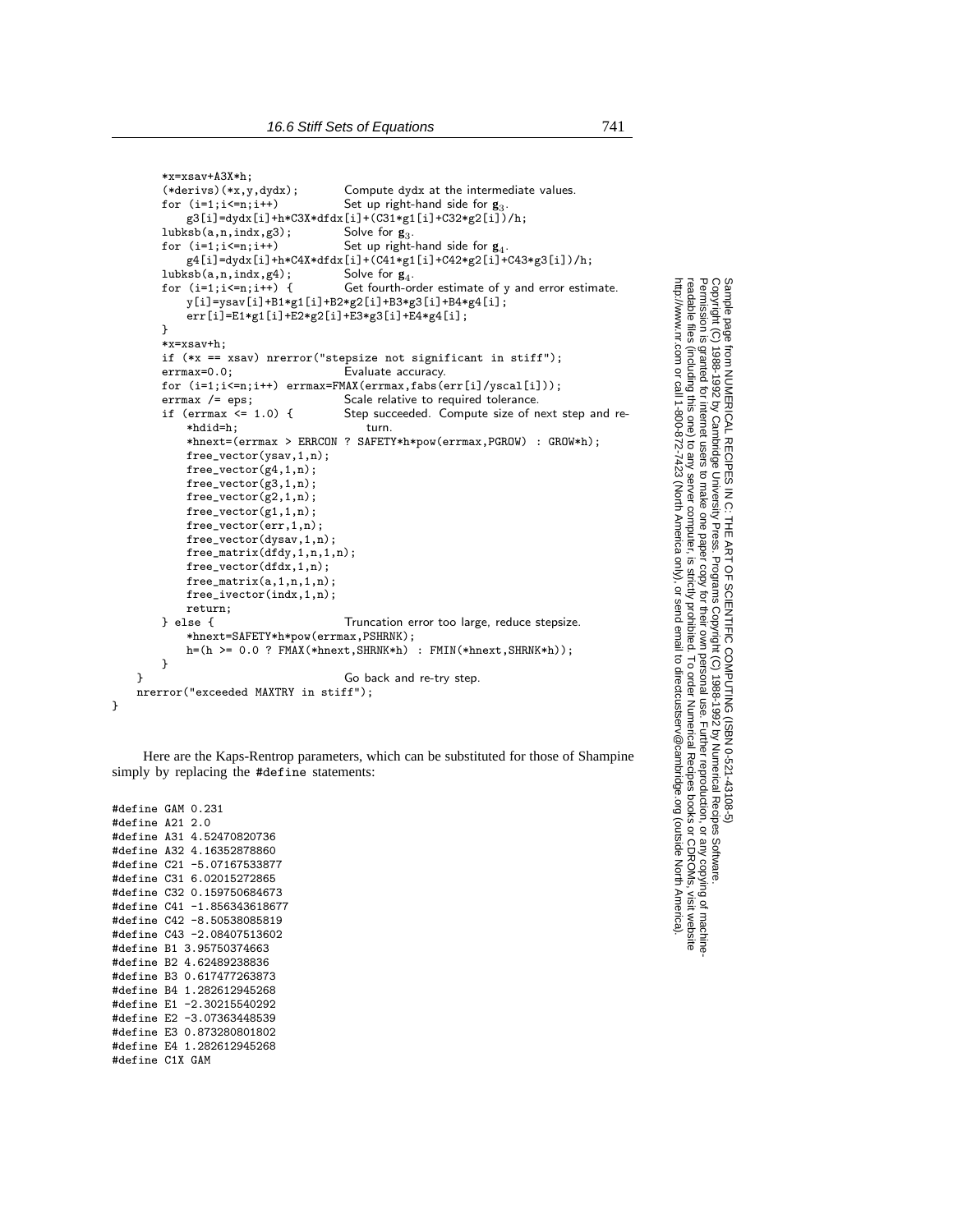```
*x=xsav+A3X*h;<br>(*derivs)(*x,y,dydx);
     (*derivs)(*x,y,dydx); Compute dydx at the intermediate values.<br>for (i=1; i<=n; i++) Set up right-hand side for g_3.
                                        Set up right-hand side for g_3.
         g3[i]=dydx[i]+h*C3X*dfdx[i]+(C31*g1[i]+C32*g2[i])/h;<br>sb(a.n.indx,g3); Solve for g_3.
     \begin{aligned} &amp;\text{lubksb(a,n,indx,g3)};\\ &amp;\text{for (i=1;i<=n;i++)}\end{aligned}Set up right-hand side for g_4.
         g4[i]=dydx[i]+h*C4X*dfdx[i]+(C41*g1[i]+C42*g2[i]+C43*g3[i])/h;<br>ksb(a,n,indx,g4);<br>Solve for g_4.
     lubksb(a, n, indx, g4);<br>for (i=1; i<=n; i++) {
                                        Get fourth-order estimate of y and error estimate.
         y[i]=ysav[i]+B1*g1[i]+B2*g2[i]+B3*g3[i]+B4*g4[i];
          err[i]=E1*g1[i]+E2*g2[i]+E3*g3[i]+E4*g4[i];
     }
     *x=xsav+h;
     if (** = xsav) nrerror("stepsize not significant in stiff");<br>errmax=0.0; Evaluate accuracy.
                                        Evaluate accuracy.
     for (i=1; i<=n; i++) errmax=FMAX(errmax,fabs(err[i]/yscal[i]));<br>errmax /= eps; Scale relative to required tolerance.
                                        Scale relative to required tolerance.
     if (errmax <= 1.0) { Step succeeded. Compute size of next step and re-
         *hdid=h; turn.
         *hnext=(errmax > ERRCON ? SAFETY*h*pow(errmax,PGROW) : GROW*h);
         free_vector(ysav,1,n);
         free_vector(g4,1,n);
         free_vector(g3,1,n);
         free_vector(g2,1,n);
         free_vector(g1,1,n);
         free_vector(err,1,n);
         free_vector(dysav,1,n);
         free_matrix(dfdy,1,n,1,n);
          free_vector(dfdx,1,n);
         free matrix(a,1,n,1,n);
         free_ivector(indx,1,n);
    return;<br>} else {
                                        Truncation error too large, reduce stepsize.
          *hnext=SAFETY*h*pow(errmax,PSHRNK);
         h=(h >= 0.0 ? FMAX(*hnext,SHRNK*h) : FMIN(*hnext,SHRNK*h));
    }
} Go back and re-try step.
nrerror("exceeded MAXTRY in stiff");
```
}

Here are the Kaps-Rentrop parameters, which can be substituted for those of Shampine simply by replacing the #define statements:

#define GAM 0.231 #define A21 2.0 #define A31 4.52470820736 #define A32 4.16352878860 #define C21 -5.07167533877 #define C31 6.02015272865 #define C32 0.159750684673 #define C41 -1.856343618677 #define C42 -8.50538085819 #define C43 -2.08407513602 #define B1 3.95750374663 #define B2 4.62489238836 #define B3 0.617477263873 #define B4 1.282612945268 #define E1 -2.30215540292 #define E2 -3.07363448539 #define E3 0.873280801802 #define E4 1.282612945268 #define C1X GAM

Sample page<br>Copyright (C)<br>Permission is Copyright (C) 1988-1992 by Cambridge University Press.Sample page from NUMERICAL RECIPES IN C: THE ART OF SCIENTIFIC COMPUTING (ISBN 0-521-43108-5) http://www.nr.com or call 1-800-872-7423 (North America only),readable files (including this one) to any serverPermission is granted for internet users to make one paper copy for their own personal use. Further reproduction, or any copyin from NUMERICAL RECIPES<br>1988-1992 by Cambridge Uni<br>granted for internet users to m PES IN C: THE ART OF SCIENTIFIC C<br>I University Press. Programs Copyright<br>to make one paper copy for their own I computer, is strictly prohibited. To order Numerical Recipes booksPrograms Copyright (C) 1988-1992 by Numerical Recipes Software. SCIENTIFIC COMPUTING or send email to directcustserv@cambridge.org (outside North America). 1FIC COMPUTING (ISBN 0-521-43108-5)<br>pyright (C) 1988-1992 by Numerical Recipes Software.<br>ir own personal use. Further reproduction, or any copying of machine-<br>ibited. To order Numerical Recipes books or CDROMs, visit web or CDROMs, visit website g of machine-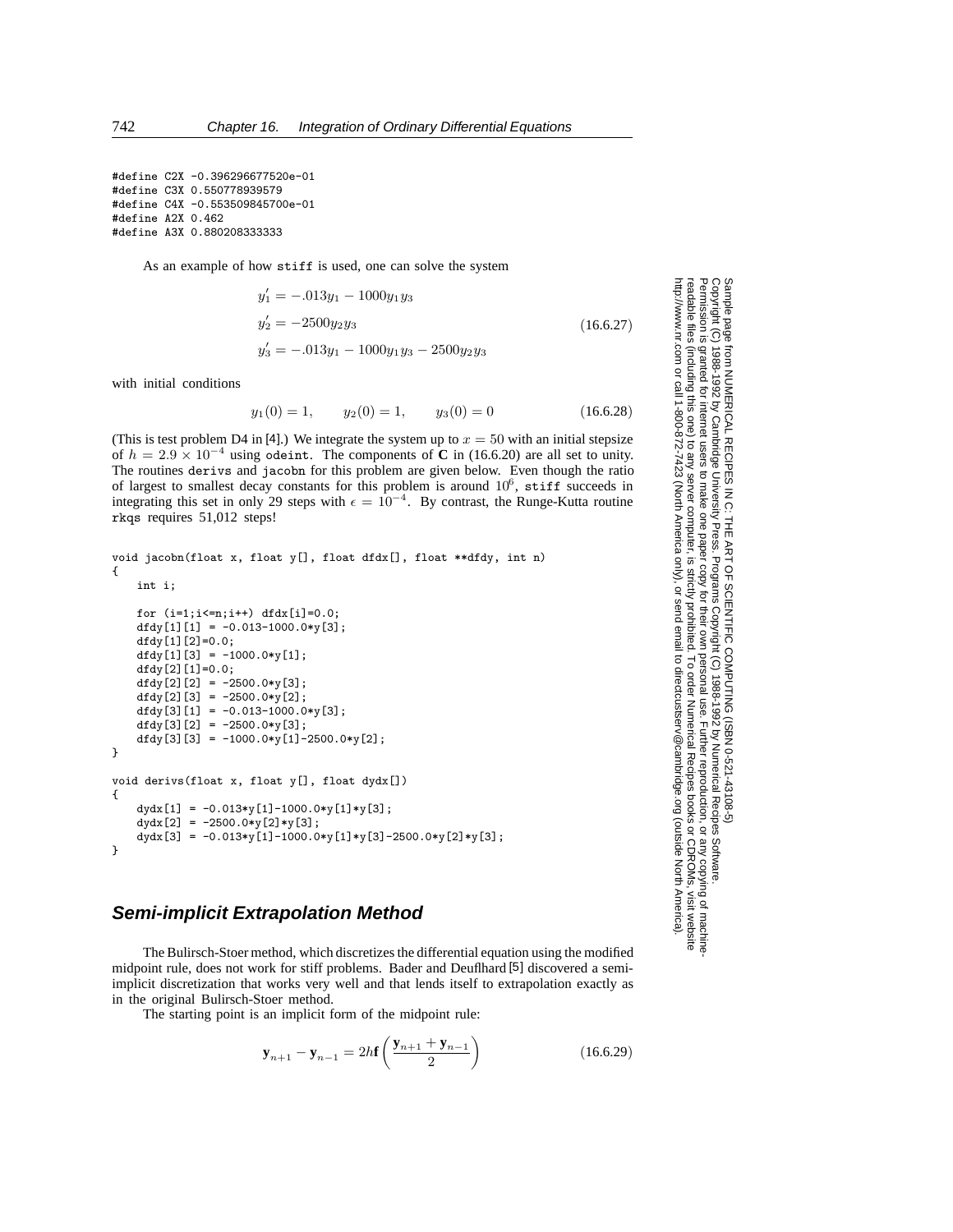```
#define C2X -0.396296677520e-01
#define C3X 0.550778939579
#define C4X -0.553509845700e-01
#define A2X 0.462
#define A3X 0.880208333333
```
As an example of how stiff is used, one can solve the system

$$
y'_1 = -.013y_1 - 1000y_1y_3
$$
  
\n
$$
y'_2 = -2500y_2y_3
$$
  
\n
$$
y'_3 = -.013y_1 - 1000y_1y_3 - 2500y_2y_3
$$
\n(16.6.27)

with initial conditions

$$
y_1(0) = 1,
$$
  $y_2(0) = 1,$   $y_3(0) = 0$  (16.6.28)

(This is test problem D4 in [4].) We integrate the system up to  $x = 50$  with an initial stepsize of  $h = 2.9 \times 10^{-4}$  using odeint. The components of **C** in (16.6.20) are all set to unity. The routines derivs and jacobn for this problem are given below. Even though the ratio of largest to smallest decay constants for this problem is around  $10^6$ , stiff succeeds in integrating this set in only 29 steps with  $\epsilon = 10^{-4}$ . By contrast, the Runge-Kutta routine rkqs requires 51,012 steps!

```
void jacobn(float x, float y[], float dfdx[], float **dfdy, int n)
{
   int i;
   for (i=1; i<=n; i++) dfdx[i]=0.0;dfdy[1][1] = -0.013-1000.0*y[3];dfdy[1][2]=0.0;dfdy[1][3] = -1000.0*y[1];
   dfdy[2][1]=0.0;dfdy[2][2] = -2500.0*y[3];
   dfdy[2][3] = -2500.0*y[2];
   dfdy[3][1] = -0.013-1000.0*y[3];
   dfdy[3][2] = -2500.0*y[3];
   dfdy[3][3] = -1000.0*y[1]-2500.0*y[2];}
void derivs(float x, float y[], float dydx[])
{
   dydx[1] = -0.013*y[1]-1000.0*y[1]*y[3];dydx[2] = -2500.0*y[2]*y[3];
   dydx[3] = -0.013*y[1]-1000.0*y[1]*y[3]-2500.0*y[2]*y[3];
}
```
#### **Semi-implicit Extrapolation Method**

The Bulirsch-Stoer method, which discretizes the differential equation using the modified midpoint rule, does not work for stiff problems. Bader and Deuflhard [5] discovered a semiimplicit discretization that works very well and that lends itself to extrapolation exactly as in the original Bulirsch-Stoer method.

The starting point is an implicit form of the midpoint rule:

$$
\mathbf{y}_{n+1} - \mathbf{y}_{n-1} = 2h\mathbf{f}\left(\frac{\mathbf{y}_{n+1} + \mathbf{y}_{n-1}}{2}\right)
$$
 (16.6.29)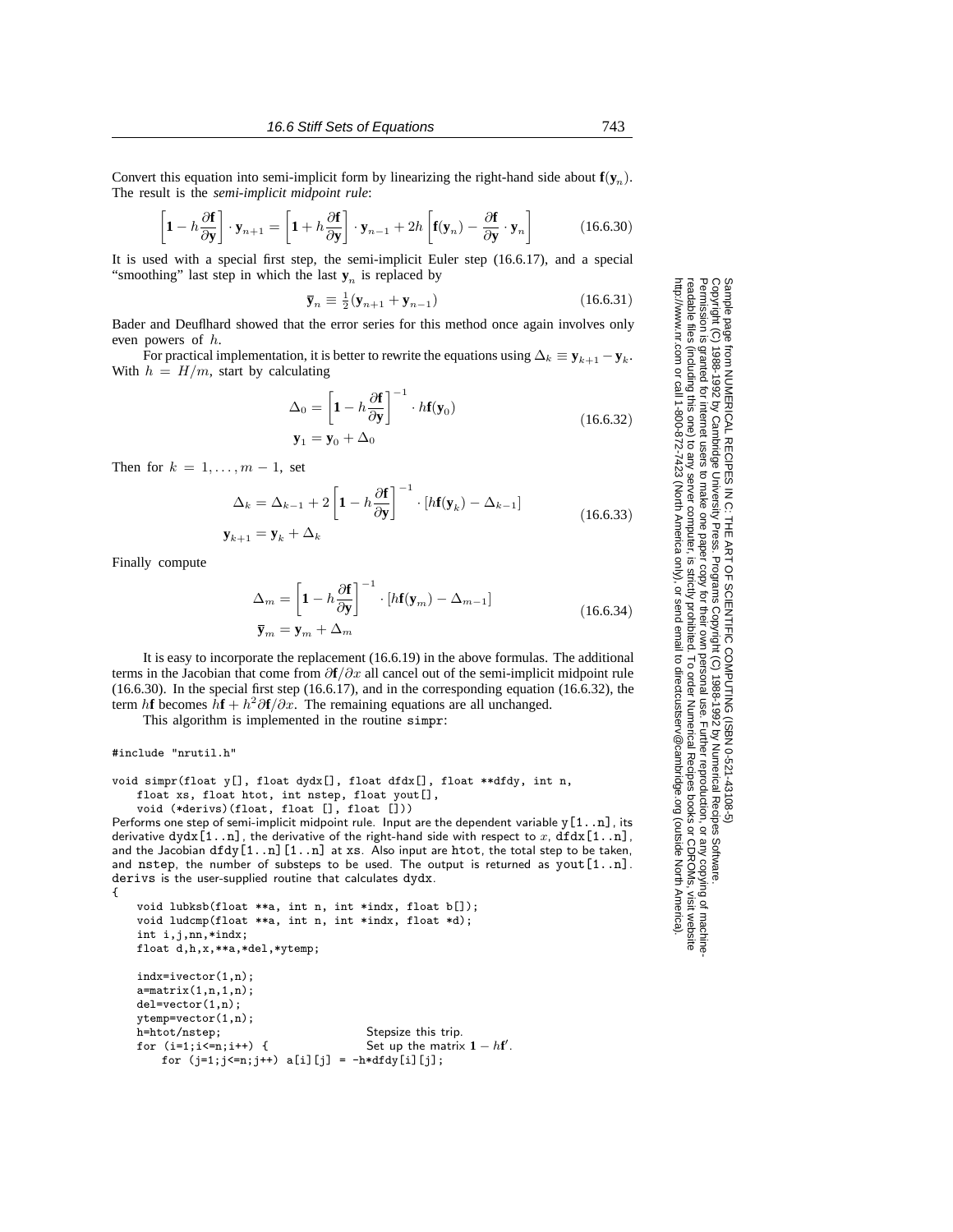Convert this equation into semi-implicit form by linearizing the right-hand side about  $f(y_n)$ . The result is the *semi-implicit midpoint rule*:

$$
\left[\mathbf{1} - h\frac{\partial \mathbf{f}}{\partial \mathbf{y}}\right] \cdot \mathbf{y}_{n+1} = \left[\mathbf{1} + h\frac{\partial \mathbf{f}}{\partial \mathbf{y}}\right] \cdot \mathbf{y}_{n-1} + 2h\left[\mathbf{f}(\mathbf{y}_n) - \frac{\partial \mathbf{f}}{\partial \mathbf{y}} \cdot \mathbf{y}_n\right]
$$
(16.6.30)

It is used with a special first step, the semi-implicit Euler step (16.6.17), and a special "smoothing" last step in which the last  $y_n$  is replaced by

$$
\overline{\mathbf{y}}_n \equiv \frac{1}{2} (\mathbf{y}_{n+1} + \mathbf{y}_{n-1}) \tag{16.6.31}
$$

Bader and Deuflhard showed that the error series for this method once again involves only even powers of h.

For practical implementation, it is better to rewrite the equations using  $\Delta_k \equiv \mathbf{y}_{k+1} - \mathbf{y}_k$ . With  $h = H/m$ , start by calculating

$$
\Delta_0 = \left[1 - h \frac{\partial \mathbf{f}}{\partial \mathbf{y}}\right]^{-1} \cdot h \mathbf{f}(\mathbf{y}_0)
$$
  

$$
\mathbf{y}_1 = \mathbf{y}_0 + \Delta_0
$$
 (16.6.32)

Then for  $k = 1, \ldots, m - 1$ , set

$$
\Delta_k = \Delta_{k-1} + 2 \left[ 1 - h \frac{\partial \mathbf{f}}{\partial \mathbf{y}} \right]^{-1} \cdot [h\mathbf{f}(\mathbf{y}_k) - \Delta_{k-1}]
$$
\n
$$
= \mathbf{y}_k + \Delta_k. \tag{16.6.33}
$$

$$
\mathbf{y}_{k+1} = \mathbf{y}_k + \Delta_k
$$

Finally compute

$$
\Delta_m = \left[1 - h \frac{\partial \mathbf{f}}{\partial \mathbf{y}}\right]^{-1} \cdot [h\mathbf{f}(\mathbf{y}_m) - \Delta_{m-1}]
$$
\n
$$
\overline{\mathbf{y}}_m = \mathbf{y}_m + \Delta_m
$$
\n(16.6.34)

It is easy to incorporate the replacement (16.6.19) in the above formulas. The additional terms in the Jacobian that come from ∂**f**/∂x all cancel out of the semi-implicit midpoint rule (16.6.30). In the special first step (16.6.17), and in the corresponding equation (16.6.32), the term h**f** becomes  $\hat{h}$ **f** +  $h^2\partial$ **f** $/\partial x$ . The remaining equations are all unchanged.

This algorithm is implemented in the routine simpr:

#include "nrutil.h"

void simpr(float y[], float dydx[], float dfdx[], float \*\*dfdy, int n, float xs, float htot, int nstep, float yout[], void (\*derivs)(float, float [], float []))

```
Performs one step of semi-implicit midpoint rule. Input are the dependent variable y[1..n], its
derivative dydx[1..n], the derivative of the right-hand side with respect to x, dfdx[1..n],
and the Jacobian dfdy[1..n][1..n] at xs. Also input are htot, the total step to be taken,
and nstep, the number of substeps to be used. The output is returned as yout[1..n].
derivs is the user-supplied routine that calculates dydx.
{
```

```
void lubksb(float **a, int n, int *indx, float b[]);
void ludcmp(float **a, int n, int *indx, float *d);
int i,j,nn,*indx;
float d,h,x,**a,*del,*ytemp;
indx=ivector(1,n);
a = matrix(1, n, 1, n);del=vector(1,n);
ytemp=vector(1,n);<br>h=htot/nstep;
                                      Stepsize this trip.
for (i=1; i \le n; i++) { Set up the matrix 1 - hf'.
    for (j=1; j<=n; j++) a[i][j] = -h * df dy[i][j];
```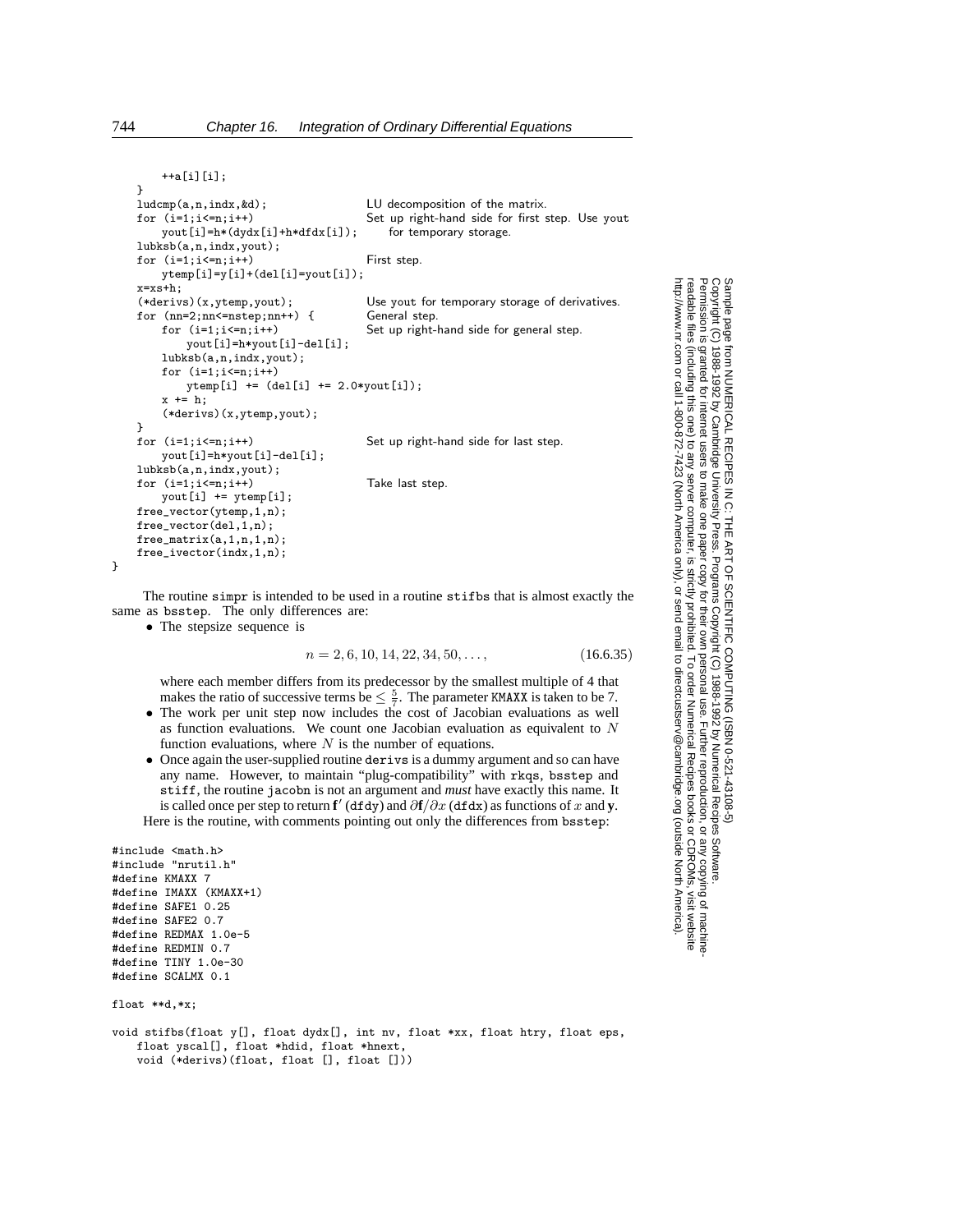++a[i][i];

```
}<br>ludcmp(a,n,indx,&d);
ludcmp(a,n,indx, &d);<br>
for (i=1;i<=n;i++) Set up right-hand side for first s
                                     Set up right-hand side for first step. Use yout for temporary storage.
    yout[i]=h*(dydx[i]+h*dfdx[i]);lubksb(a,n,indx,yout);
for (i=1; i<=n; i++) First step.
    ytemp[i]=y[i]+(del[i]=yout[i]);
x=xs+h;<br>(*derivs)(x,ytemp,yout);
                                     Use yout for temporary storage of derivatives.
for (nn=2;nn<=nstep;nn++) { General step.
    for (i=1; i \le n; i++) Set up right-hand side for general step.
        yout[i]=h*yout[i]-del[i];
    lubksb(a,n,indx,yout);
    for (i=1:i<=n:i++)ytemp[i] += (del[i] += 2.0*yout[i]);x \leftarrow b:
    (*derivs)(x,ytemp,yout);
}
for (i=1;i<=n;i++) Set up right-hand side for last step.
    yout[i]=h*yout[i]-del[i];
lubksb(a,n,indx,yout);
for (i=1; i \le n; i++) Take last step.
    yout[i] += ytemp[i];
free_vector(ytemp,1,n);
free_vector(del,1,n);
free matrix(a,1,n,1,n):
free_ivector(indx,1,n);
```
The routine simpr is intended to be used in a routine stifbs that is almost exactly the same as bsstep. The only differences are:

```
• The stepsize sequence is
```

$$
n = 2, 6, 10, 14, 22, 34, 50, \dots,
$$
\n
$$
(16.6.35)
$$

where each member differs from its predecessor by the smallest multiple of 4 that makes the ratio of successive terms be  $\leq \frac{5}{7}$ . The parameter KMAXX is taken to be 7.

- The work per unit step now includes the cost of Jacobian evaluations as well as function evaluations. We count one Jacobian evaluation as equivalent to N function evaluations, where  $N$  is the number of equations.
- Once again the user-supplied routine derivs is a dummy argument and so can have any name. However, to maintain "plug-compatibility" with rkqs, bsstep and stiff, the routine jacobn is not an argument and *must* have exactly this name. It is called once per step to return **f**' (dfdy) and  $\partial$ **f** $/\partial x$  (dfdx) as functions of x and **y**. Here is the routine, with comments pointing out only the differences from bsstep:

```
#include <math.h>
#include "nrutil.h"
#define KMAXX 7
#define IMAXX (KMAXX+1)
#define SAFE1 0.25
#define SAFE2 0.7
#define REDMAX 1.0e-5
#define REDMIN 0.7
#define TINY 1.0e-30
#define SCALMX 0.1
```

```
float **d,*x;
```
void stifbs(float y[], float dydx[], int nv, float \*xx, float htry, float eps, float yscal[], float \*hdid, float \*hnext, void (\*derivs)(float, float [], float []))

Sample page<br>Copyright (C)<br>Permission is Copyright (C) 1988-1992 by Cambridge University Press.Sample page from NUMERICAL RECIPES IN C: THE ART OF SCIENTIFIC COMPUTING (ISBN 0-521-43108-5) http://www.nr.com or call 1-800-872-7423 (North America only),readable files (including this one) to any serverPermission is granted for internet users to make one paper copy for their own personal use. Further reproduction, or any copyin from NUMERICAL RECIPES<br>1988-1992 by Cambridge Uni<br>granted for internet users to m computer, is strictly prohibited. To order Numerical Recipes booksPrograms Copyright (C) 1988-1992 by Numerical Recipes Software. SCIENTIFIC COMPUTING or send email to directcustserv@cambridge.org (outside North America). email to directcustserv@cambridge.org (outside North America). COMPUTING (ISBN 0-521-43108-5)<br>tt (C) 1988-1992 by Numerical Recipes Software.<br>personal use. Further reproduction, or any copying of machine-<br>I. To order Numerical Recipes books or CDROMs, visit website<br>I. To order Numeric or CDROMs, visit website g of machine-

}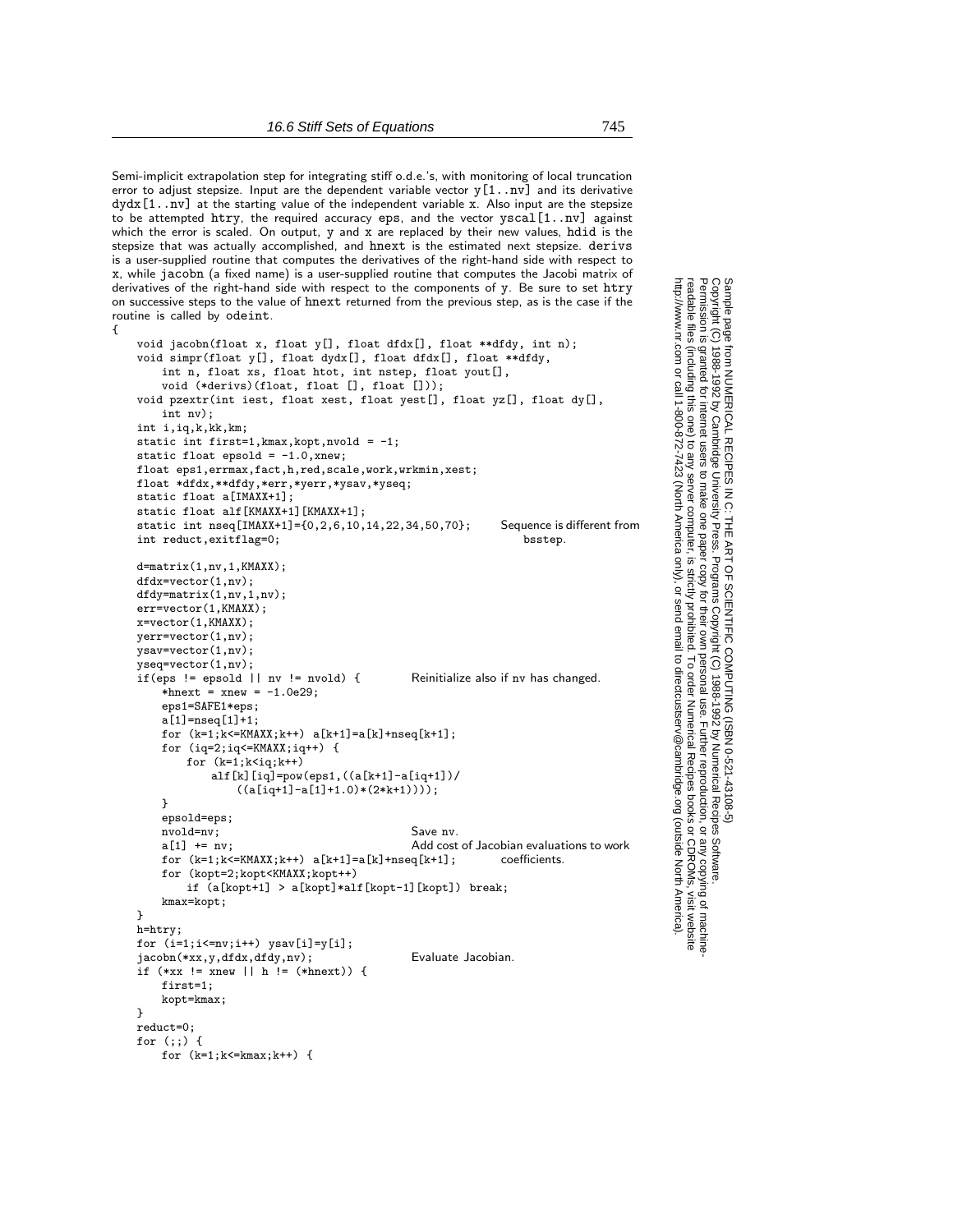Semi-implicit extrapolation step for integrating stiffo.d.e.'s, with monitoring of local truncation error to adjust stepsize. Input are the dependent variable vector y[1..nv] and its derivative dydx[1..nv] at the starting value of the independent variable x. Also input are the stepsize to be attempted htry, the required accuracy eps, and the vector  $yscal[1..nv]$  against which the error is scaled. On output, y and x are replaced by their new values, hdid is the stepsize that was actually accomplished, and hnext is the estimated next stepsize. derivs is a user-supplied routine that computes the derivatives of the right-hand side with respect to x, while jacobn (a fixed name) is a user-supplied routine that computes the Jacobi matrix of derivatives of the right-hand side with respect to the components of y. Be sure to set htry on successive steps to the value of hnext returned from the previous step, as is the case if the routine is called by odeint.

{

```
void jacobn(float x, float y[], float dfdx[], float **dfdy, int n);
void simpr(float y[], float dydx[], float dfdx[], float **dfdy,
    int n, float xs, float htot, int nstep, float yout[],
    void (*derivs)(float, float [], float []));
void pzextr(int iest, float xest, float yest[], float yz[], float dy[],
    int nv);
int i,iq,k,kk,km;
static int first=1,kmax,kopt,nvold = -1;
static float epsold = -1.0, xnew;
float eps1,errmax,fact,h,red,scale,work,wrkmin,xest;
float *dfdx,**dfdy,*err,*yerr,*ysav,*yseq;
static float a[IMAXX+1];
static float alf[KMAXX+1][KMAXX+1];
static int nseq[IMAXX+1]={0,2,6,10,14,22,34,50,70}; Sequence is different from<br>int reduct.exitflag=0: bsstep.
int reduct, ext{exitflag=0};
d=matrix(1,nv,1,KMAXX);
dfdx=vector(1,nv);
dfdy=matrix(1,nv,1,nv);
err=vector(1,KMAXX);
x=vector(1,KMAXX);
yerr=vector(1,nv);
ysav=vector(1,nv);
yseq=vector(1,nv);
if(eps != epsold || nv != nvold) { Reinitialize also if nv has changed.
    *hnext = xnew = -1.0e29;
    eps1=SAFE1*eps;
    a[1]=nseq[1]+1;
    for (k=1; k<=KMAX; k++) a[k+1]=a[k]+nseq[k+1];
    for (iq=2;iq<=KMAXX;iq++) {
        for (k=1; k < iq; k++)alf[k][iq]=pow(eps1,((a[k+1]-a[iq+1])/
                ((a[iq+1]-a[1]+1.0)*(2*k+1))));
    }
    epsold=eps;
    nvold=nv;<br>
a[1] += nv;<br>
a(1) += nv;<br>
a(2) Add cost
                                             Add cost of Jacobian evaluations to work<br>a[k+1]: coefficients.
    for (k=1; k<=KMAX; k++) a[k+1]=a[k]+nseq[k+1];
    for (kopt=2;kopt<KMAXX;kopt++)
        if (a[kopt+1] > a[kopt]*alf[kopt-1][kopt]) break;
    kmax=kopt;
}
h=htry;
for (i=1; i<=nv; i++) ysav[i]=y[i];jacobn(*xx,y,dfdx,dfdy,nv); Evaluate Jacobian.
if (*xx != xnew || h != (*hnext)) {
    first=1;
    kopt=kmax;
}
reduct=0;
for (;;) {
```
for  $(k=1; k<=kmax; k++)$  {

Permission is granted for internet users to make one paper copy for their own personal use. Further reproduction, or any copyin

computer, is strictly prohibited. To order Numerical Recipes books

or send email to directcustserv@cambridge.org (outside North America).

Sample page from NUMERICAL RECIPES IN C: THE ART OF SCIENTIFIC COMPUTING (ISBN 0-521-43108-5)

Programs Copyright (C) 1988-1992 by Numerical Recipes Software.

g of machine-

or CDROMs, visit website

Copyright (C) 1988-1992 by Cambridge University Press.

readable files (including this one) to any server

http://www.nr.com or call 1-800-872-7423 (North America only),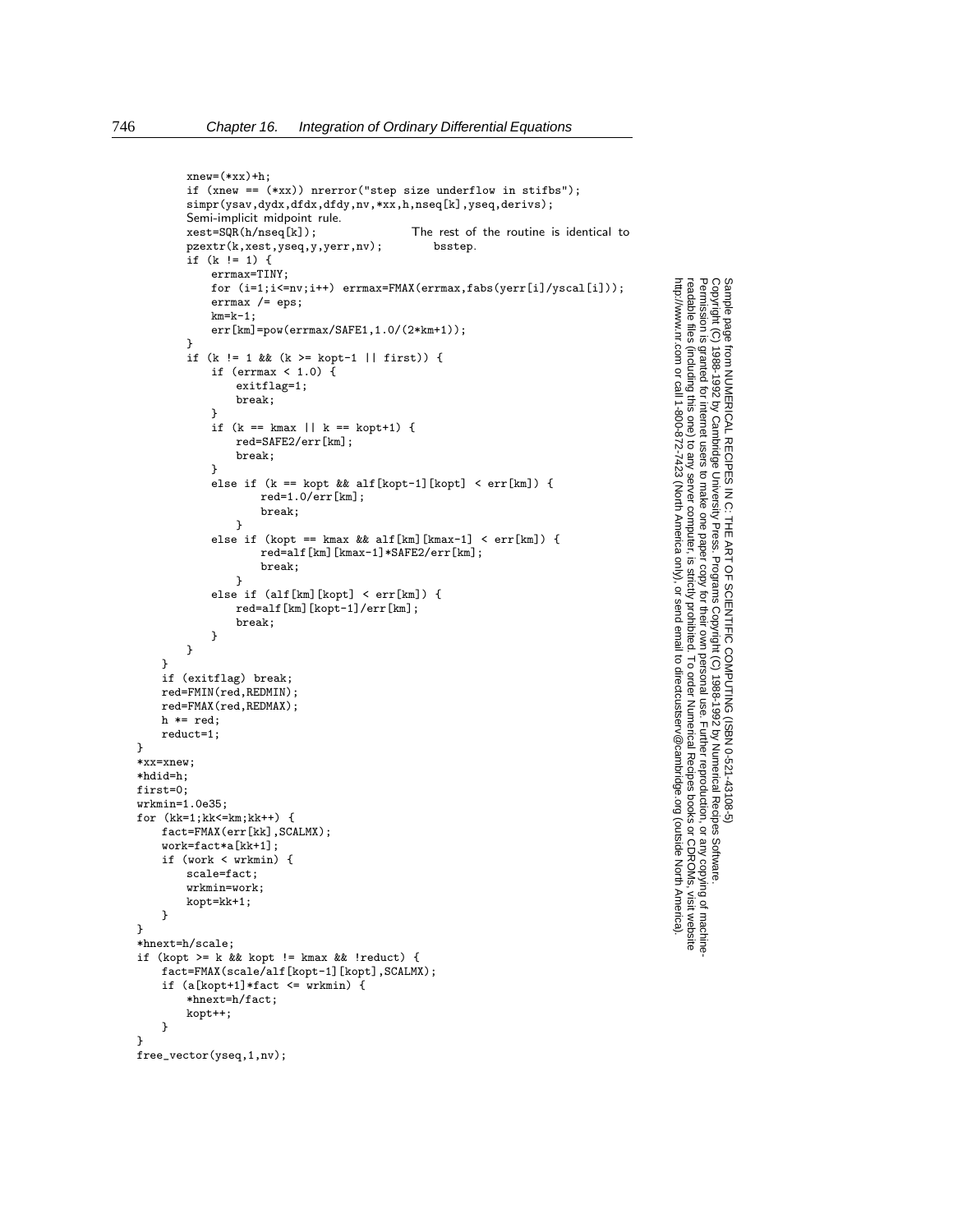```
xnew=(*xx)+h;if (xnew == (*xx)) nrerror("step size underflow in stifbs");
        simpr(ysav,dydx,dfdx,dfdy,nv,*xx,h,nseq[k],yseq,derivs);
        Semi-implicit midpoint rule.<br>xest=SQR(h/nseq[k]);
                                            The rest of the routine is identical to bsstep.
        pzextr(k,xest,yseq,y,yerr,nv);
        if (k != 1) {
            errmax=TINY;
            for (i=1;i<=nv;i++) errmax=FMAX(errmax,fabs(yerr[i]/yscal[i]));
            errmax /= eps;
            km=k-1;err[km]=pow(errmax/SAFE1,1.0/(2*km+1));
        }
        if (k != 1 && (k >= kopt-1 || first)) {
            if (errmax \langle 1.0 \rangle {
                exitflag=1;
                break;
            }
            if (k == kmax || k == kopt+1) {
                red=SAFE2/err[km];
                break;
            }
            else if (k == kopt && alf[kopt-1][kopt] < err[km]) {
                    red=1.0/err[km];
                    break;
                }
            else if (kopt == kmax && alf[km][kmax-1] < err[km]) {
                    red=alf[km][kmax-1]*SAFE2/err[km];
                    break;
                }
            else if (alf[km][kopt] < err[km]) {
                red=alf[km][kopt-1]/err[km];
                break;
            }
        }
    }
    if (exitflag) break;
    red=FMIN(red,REDMIN);
    red=FMAX(red,REDMAX);
   h * = red;reduct=1;
*xx=xnew;
*hdid=h;
first=0;
wrkmin=1.0e35;
for (kk=1;kk<=km;kk++) {
    fact=FMAX(err[kk],SCALMX);
    work=fact*a[kk+1];
   if (work < wrkmin) {
        scale=fact;
        wrkmin=work;
       kopt=kk+1;
    }
*hnext=h/scale;
if (kopt >= k && kopt != kmax && !reduct) {
    fact=FMAX(scale/alf[kopt-1][kopt],SCALMX);
    if (a[kopt+1]*fact \leq wrkmin) {
        *hnext=h/fact;
        kopt++;
    }
```

```
free_vector(yseq,1,nv);
```
}

}

}